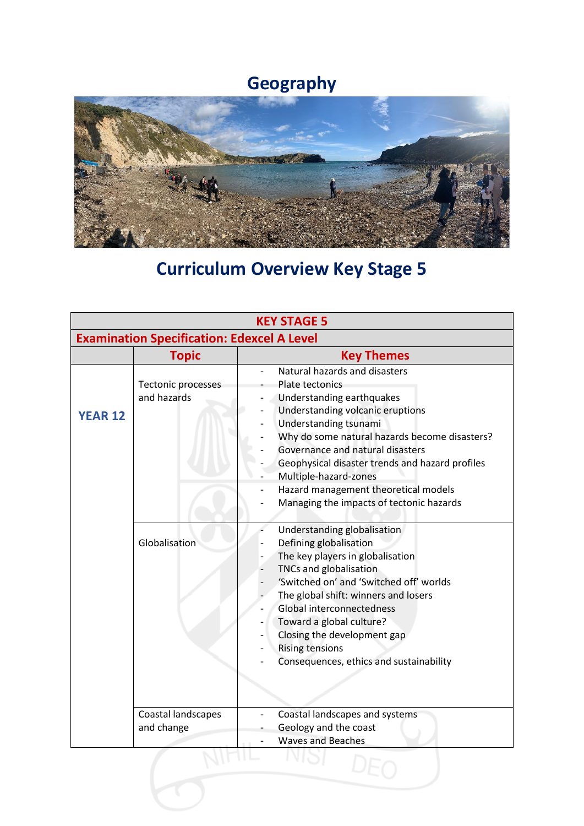## **Geography**



## **Curriculum Overview Key Stage 5**

| <b>KEY STAGE 5</b>                                |                                   |                                                                                                                                                                                                                                                                                                                                                                                                 |  |  |
|---------------------------------------------------|-----------------------------------|-------------------------------------------------------------------------------------------------------------------------------------------------------------------------------------------------------------------------------------------------------------------------------------------------------------------------------------------------------------------------------------------------|--|--|
| <b>Examination Specification: Edexcel A Level</b> |                                   |                                                                                                                                                                                                                                                                                                                                                                                                 |  |  |
|                                                   | <b>Topic</b>                      | <b>Key Themes</b>                                                                                                                                                                                                                                                                                                                                                                               |  |  |
| <b>YEAR 12</b>                                    | Tectonic processes<br>and hazards | Natural hazards and disasters<br>Plate tectonics<br>Understanding earthquakes<br>Understanding volcanic eruptions<br>Understanding tsunami<br>Why do some natural hazards become disasters?<br>Governance and natural disasters<br>Geophysical disaster trends and hazard profiles<br>Multiple-hazard-zones<br>Hazard management theoretical models<br>Managing the impacts of tectonic hazards |  |  |
|                                                   | Globalisation                     | Understanding globalisation<br>Defining globalisation<br>The key players in globalisation<br>TNCs and globalisation<br>'Switched on' and 'Switched off' worlds<br>The global shift: winners and losers<br>Global interconnectedness<br>Toward a global culture?<br>Closing the development gap<br><b>Rising tensions</b><br>Consequences, ethics and sustainability                             |  |  |
|                                                   | Coastal landscapes<br>and change  | Coastal landscapes and systems<br>Geology and the coast<br><b>Waves and Beaches</b>                                                                                                                                                                                                                                                                                                             |  |  |
|                                                   |                                   |                                                                                                                                                                                                                                                                                                                                                                                                 |  |  |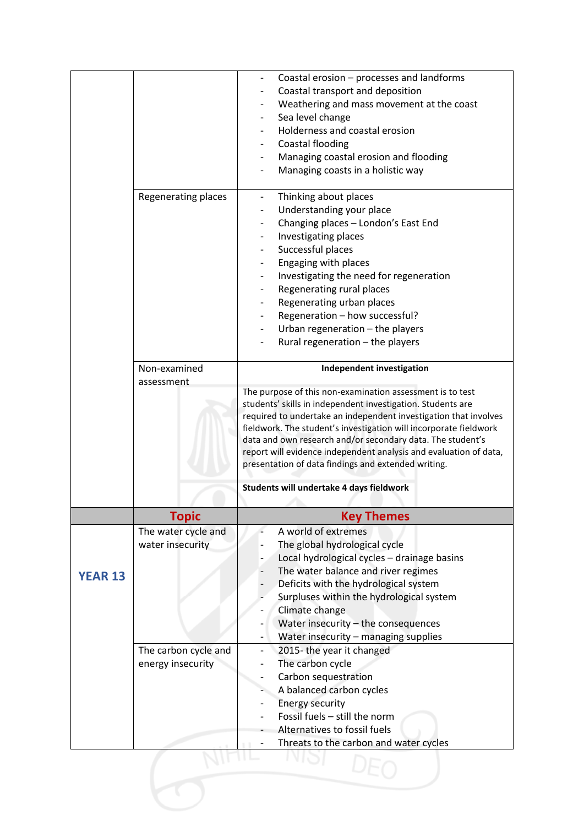|                |                      | Coastal erosion - processes and landforms                                                                                       |
|----------------|----------------------|---------------------------------------------------------------------------------------------------------------------------------|
|                |                      | Coastal transport and deposition                                                                                                |
|                |                      | Weathering and mass movement at the coast                                                                                       |
|                |                      | Sea level change                                                                                                                |
|                |                      | Holderness and coastal erosion                                                                                                  |
|                |                      | Coastal flooding                                                                                                                |
|                |                      | Managing coastal erosion and flooding                                                                                           |
|                |                      | Managing coasts in a holistic way                                                                                               |
|                |                      |                                                                                                                                 |
|                | Regenerating places  | Thinking about places<br>$\overline{\phantom{0}}$                                                                               |
|                |                      | Understanding your place                                                                                                        |
|                |                      | Changing places - London's East End                                                                                             |
|                |                      | Investigating places                                                                                                            |
|                |                      | Successful places                                                                                                               |
|                |                      | Engaging with places                                                                                                            |
|                |                      | Investigating the need for regeneration                                                                                         |
|                |                      | Regenerating rural places                                                                                                       |
|                |                      | Regenerating urban places                                                                                                       |
|                |                      | Regeneration - how successful?                                                                                                  |
|                |                      | Urban regeneration - the players                                                                                                |
|                |                      | Rural regeneration - the players                                                                                                |
|                | Non-examined         | Independent investigation                                                                                                       |
|                | assessment           |                                                                                                                                 |
|                |                      | The purpose of this non-examination assessment is to test                                                                       |
|                |                      | students' skills in independent investigation. Students are                                                                     |
|                |                      | required to undertake an independent investigation that involves                                                                |
|                |                      | fieldwork. The student's investigation will incorporate fieldwork                                                               |
|                |                      | data and own research and/or secondary data. The student's<br>report will evidence independent analysis and evaluation of data, |
|                |                      | presentation of data findings and extended writing.                                                                             |
|                |                      |                                                                                                                                 |
|                |                      | Students will undertake 4 days fieldwork                                                                                        |
|                | <b>Topic</b>         | <b>Key Themes</b>                                                                                                               |
|                | The water cycle and  | A world of extremes                                                                                                             |
|                | water insecurity     | The global hydrological cycle                                                                                                   |
|                |                      | Local hydrological cycles - drainage basins                                                                                     |
|                |                      | The water balance and river regimes                                                                                             |
| <b>YEAR 13</b> |                      | Deficits with the hydrological system                                                                                           |
|                |                      | Surpluses within the hydrological system                                                                                        |
|                |                      | Climate change                                                                                                                  |
|                |                      | Water insecurity - the consequences                                                                                             |
|                |                      | Water insecurity - managing supplies                                                                                            |
|                | The carbon cycle and | 2015-the year it changed                                                                                                        |
|                | energy insecurity    | The carbon cycle                                                                                                                |
|                |                      | Carbon sequestration                                                                                                            |
|                |                      | A balanced carbon cycles                                                                                                        |
|                |                      | <b>Energy security</b>                                                                                                          |
|                |                      | Fossil fuels - still the norm                                                                                                   |
|                |                      | Alternatives to fossil fuels                                                                                                    |
|                |                      | Threats to the carbon and water cycles                                                                                          |
|                |                      |                                                                                                                                 |
|                |                      |                                                                                                                                 |
|                |                      |                                                                                                                                 |